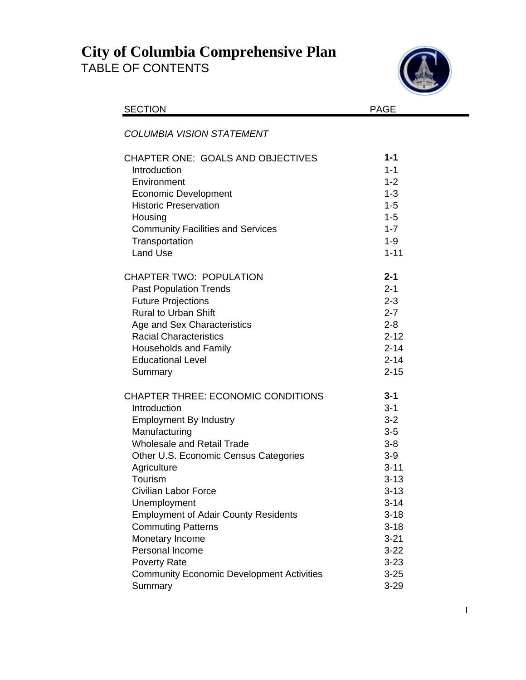## **City of Columbia Comprehensive Plan**  TABLE OF CONTENTS



| <b>SECTION</b>                                   | <b>PAGE</b> |
|--------------------------------------------------|-------------|
| <b>COLUMBIA VISION STATEMENT</b>                 |             |
| <b>CHAPTER ONE: GOALS AND OBJECTIVES</b>         | $1 - 1$     |
| Introduction                                     | $1 - 1$     |
| Environment                                      | $1 - 2$     |
| <b>Economic Development</b>                      | $1 - 3$     |
| <b>Historic Preservation</b>                     | $1 - 5$     |
| Housing                                          | $1 - 5$     |
| <b>Community Facilities and Services</b>         | $1 - 7$     |
| Transportation                                   | $1 - 9$     |
| <b>Land Use</b>                                  | $1 - 11$    |
| <b>CHAPTER TWO: POPULATION</b>                   | $2 - 1$     |
| <b>Past Population Trends</b>                    | $2 - 1$     |
| <b>Future Projections</b>                        | $2 - 3$     |
| <b>Rural to Urban Shift</b>                      | $2 - 7$     |
| Age and Sex Characteristics                      | $2 - 8$     |
| <b>Racial Characteristics</b>                    | $2 - 12$    |
| <b>Households and Family</b>                     | $2 - 14$    |
| <b>Educational Level</b>                         | $2 - 14$    |
| Summary                                          | $2 - 15$    |
| <b>CHAPTER THREE: ECONOMIC CONDITIONS</b>        | $3 - 1$     |
| Introduction                                     | $3 - 1$     |
| <b>Employment By Industry</b>                    | $3 - 2$     |
| Manufacturing                                    | $3-5$       |
| <b>Wholesale and Retail Trade</b>                | $3 - 8$     |
| Other U.S. Economic Census Categories            | $3-9$       |
| Agriculture                                      | $3 - 11$    |
| Tourism                                          | $3 - 13$    |
| <b>Civilian Labor Force</b>                      | $3 - 13$    |
| Unemployment                                     | $3 - 14$    |
| <b>Employment of Adair County Residents</b>      | $3 - 18$    |
| <b>Commuting Patterns</b>                        | $3 - 18$    |
| Monetary Income                                  | $3 - 21$    |
| Personal Income                                  | $3 - 22$    |
| <b>Poverty Rate</b>                              | $3 - 23$    |
| <b>Community Economic Development Activities</b> | $3 - 25$    |
| Summary                                          | $3 - 29$    |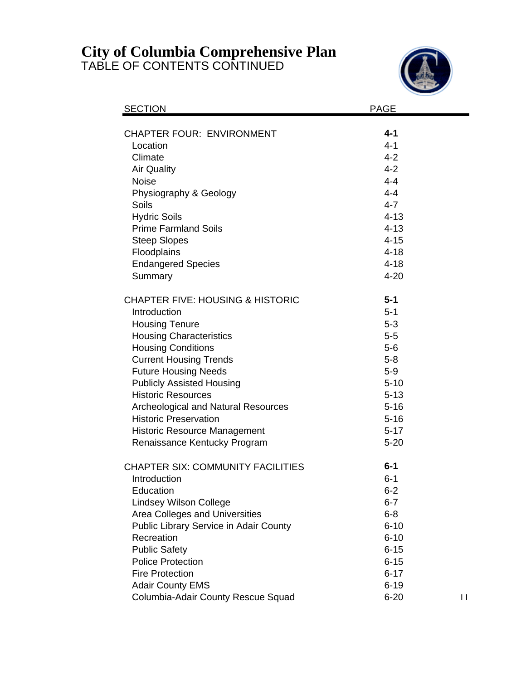## **City of Columbia Comprehensive Plan**

TABLE OF CONTENTS CONTINUED



| <b>SECTION</b>                              | <b>PAGE</b> |              |
|---------------------------------------------|-------------|--------------|
| <b>CHAPTER FOUR: ENVIRONMENT</b>            | 4-1         |              |
| Location                                    | $4 - 1$     |              |
| Climate                                     | $4 - 2$     |              |
| <b>Air Quality</b>                          | $4 - 2$     |              |
| <b>Noise</b>                                | $4 - 4$     |              |
| Physiography & Geology                      | $4 - 4$     |              |
| Soils                                       | $4 - 7$     |              |
| <b>Hydric Soils</b>                         | $4 - 13$    |              |
| <b>Prime Farmland Soils</b>                 | $4 - 13$    |              |
| <b>Steep Slopes</b>                         | $4 - 15$    |              |
| Floodplains                                 | $4 - 18$    |              |
| <b>Endangered Species</b>                   | $4 - 18$    |              |
| Summary                                     | $4 - 20$    |              |
| <b>CHAPTER FIVE: HOUSING &amp; HISTORIC</b> | $5 - 1$     |              |
| Introduction                                | $5 - 1$     |              |
| <b>Housing Tenure</b>                       | $5-3$       |              |
| <b>Housing Characteristics</b>              | $5-5$       |              |
| <b>Housing Conditions</b>                   | $5-6$       |              |
| <b>Current Housing Trends</b>               | $5 - 8$     |              |
| <b>Future Housing Needs</b>                 | $5-9$       |              |
| <b>Publicly Assisted Housing</b>            | $5 - 10$    |              |
| <b>Historic Resources</b>                   | $5 - 13$    |              |
| <b>Archeological and Natural Resources</b>  | $5 - 16$    |              |
| <b>Historic Preservation</b>                | $5 - 16$    |              |
| <b>Historic Resource Management</b>         | $5 - 17$    |              |
| Renaissance Kentucky Program                | $5 - 20$    |              |
| <b>CHAPTER SIX: COMMUNITY FACILITIES</b>    | $6 - 1$     |              |
| Introduction                                | $6 - 1$     |              |
| Education                                   | $6 - 2$     |              |
| <b>Lindsey Wilson College</b>               | $6 - 7$     |              |
| Area Colleges and Universities              | $6 - 8$     |              |
| Public Library Service in Adair County      | $6 - 10$    |              |
| Recreation                                  | $6 - 10$    |              |
| <b>Public Safety</b>                        | $6 - 15$    |              |
| <b>Police Protection</b>                    | $6 - 15$    |              |
| <b>Fire Protection</b>                      | $6 - 17$    |              |
| <b>Adair County EMS</b>                     | $6 - 19$    |              |
| Columbia-Adair County Rescue Squad          | $6 - 20$    | $\mathbf{H}$ |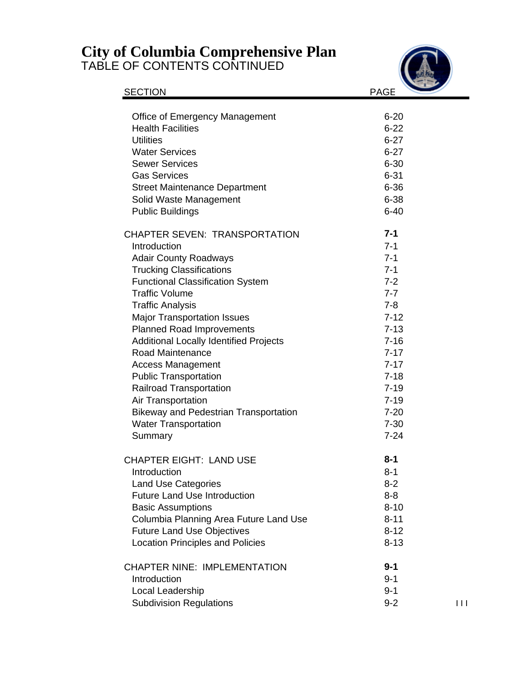## **City of Columbia Comprehensive Plan**

TABLE OF CONTENTS CONTINUED



| <b>SECTION</b>                                | <b>PAGE</b> |
|-----------------------------------------------|-------------|
| <b>Office of Emergency Management</b>         | $6 - 20$    |
| <b>Health Facilities</b>                      | $6 - 22$    |
| <b>Utilities</b>                              | $6 - 27$    |
| <b>Water Services</b>                         | $6 - 27$    |
| <b>Sewer Services</b>                         | $6 - 30$    |
| <b>Gas Services</b>                           | $6 - 31$    |
| <b>Street Maintenance Department</b>          | $6 - 36$    |
| Solid Waste Management                        | 6-38        |
| <b>Public Buildings</b>                       | $6 - 40$    |
| <b>CHAPTER SEVEN: TRANSPORTATION</b>          | $7 - 1$     |
| Introduction                                  | $7 - 1$     |
| <b>Adair County Roadways</b>                  | $7 - 1$     |
| <b>Trucking Classifications</b>               | $7 - 1$     |
| <b>Functional Classification System</b>       | $7 - 2$     |
| <b>Traffic Volume</b>                         | $7 - 7$     |
| <b>Traffic Analysis</b>                       | $7 - 8$     |
| <b>Major Transportation Issues</b>            | $7 - 12$    |
| <b>Planned Road Improvements</b>              | $7 - 13$    |
| <b>Additional Locally Identified Projects</b> | $7 - 16$    |
| Road Maintenance                              | $7 - 17$    |
| <b>Access Management</b>                      | $7 - 17$    |
| <b>Public Transportation</b>                  | $7 - 18$    |
| <b>Railroad Transportation</b>                | $7 - 19$    |
| Air Transportation                            | $7 - 19$    |
| <b>Bikeway and Pedestrian Transportation</b>  | $7 - 20$    |
| <b>Water Transportation</b>                   | $7 - 30$    |
| Summary                                       | $7 - 24$    |
| <b>CHAPTER EIGHT: LAND USE</b>                | $8 - 1$     |
| Introduction                                  | 8-1         |
| <b>Land Use Categories</b>                    | $8 - 2$     |
| <b>Future Land Use Introduction</b>           | $8 - 8$     |
| <b>Basic Assumptions</b>                      | $8 - 10$    |
| Columbia Planning Area Future Land Use        | $8 - 11$    |
| <b>Future Land Use Objectives</b>             | $8 - 12$    |
| <b>Location Principles and Policies</b>       | $8 - 13$    |
| <b>CHAPTER NINE: IMPLEMENTATION</b>           | $9 - 1$     |
| Introduction                                  | $9 - 1$     |
| Local Leadership                              | $9 - 1$     |
| <b>Subdivision Regulations</b>                | $9 - 2$     |

9-2 I I I